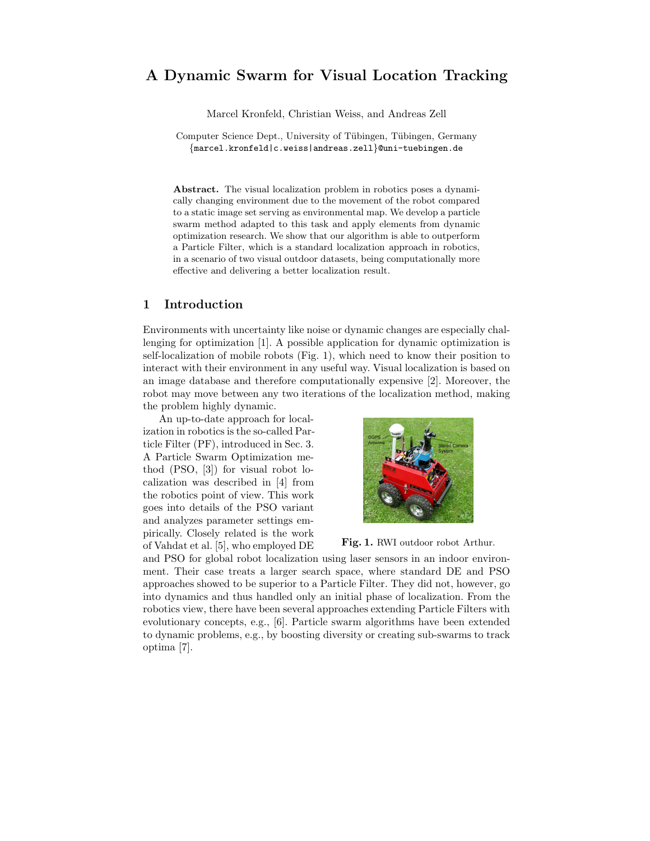# A Dynamic Swarm for Visual Location Tracking

Marcel Kronfeld, Christian Weiss, and Andreas Zell

Computer Science Dept., University of Tübingen, Tübingen, Germany {marcel.kronfeld|c.weiss|andreas.zell}@uni-tuebingen.de

Abstract. The visual localization problem in robotics poses a dynamically changing environment due to the movement of the robot compared to a static image set serving as environmental map. We develop a particle swarm method adapted to this task and apply elements from dynamic optimization research. We show that our algorithm is able to outperform a Particle Filter, which is a standard localization approach in robotics, in a scenario of two visual outdoor datasets, being computationally more effective and delivering a better localization result.

#### 1 Introduction

Environments with uncertainty like noise or dynamic changes are especially challenging for optimization [1]. A possible application for dynamic optimization is self-localization of mobile robots (Fig. 1), which need to know their position to interact with their environment in any useful way. Visual localization is based on an image database and therefore computationally expensive [2]. Moreover, the robot may move between any two iterations of the localization method, making the problem highly dynamic.

An up-to-date approach for localization in robotics is the so-called Particle Filter (PF), introduced in Sec. 3. A Particle Swarm Optimization method (PSO, [3]) for visual robot localization was described in [4] from the robotics point of view. This work goes into details of the PSO variant and analyzes parameter settings empirically. Closely related is the work of Vahdat et al. [5], who employed DE



Fig. 1. RWI outdoor robot Arthur.

and PSO for global robot localization using laser sensors in an indoor environment. Their case treats a larger search space, where standard DE and PSO approaches showed to be superior to a Particle Filter. They did not, however, go into dynamics and thus handled only an initial phase of localization. From the robotics view, there have been several approaches extending Particle Filters with evolutionary concepts, e.g., [6]. Particle swarm algorithms have been extended to dynamic problems, e.g., by boosting diversity or creating sub-swarms to track optima [7].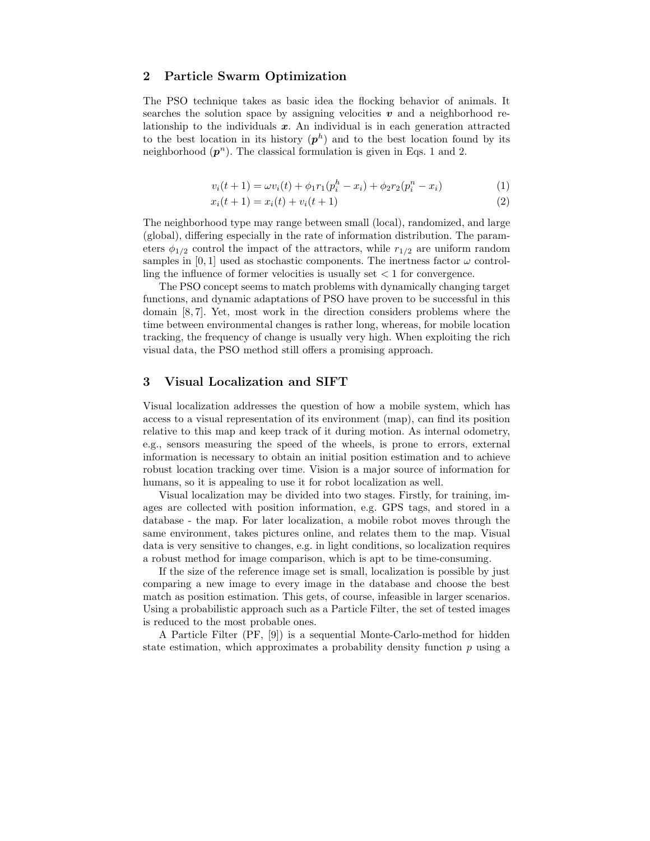### 2 Particle Swarm Optimization

The PSO technique takes as basic idea the flocking behavior of animals. It searches the solution space by assigning velocities  $\boldsymbol{v}$  and a neighborhood relationship to the individuals  $x$ . An individual is in each generation attracted to the best location in its history  $(p<sup>h</sup>)$  and to the best location found by its neighborhood  $(p^n)$ . The classical formulation is given in Eqs. 1 and 2.

$$
v_i(t+1) = \omega v_i(t) + \phi_1 r_1(p_i^h - x_i) + \phi_2 r_2(p_i^n - x_i)
$$
\n(1)

$$
x_i(t+1) = x_i(t) + v_i(t+1)
$$
\n(2)

The neighborhood type may range between small (local), randomized, and large (global), differing especially in the rate of information distribution. The parameters  $\phi_{1/2}$  control the impact of the attractors, while  $r_{1/2}$  are uniform random samples in [0, 1] used as stochastic components. The inertness factor  $\omega$  controlling the influence of former velocities is usually set  $\langle 1 \rangle$  for convergence.

The PSO concept seems to match problems with dynamically changing target functions, and dynamic adaptations of PSO have proven to be successful in this domain [8, 7]. Yet, most work in the direction considers problems where the time between environmental changes is rather long, whereas, for mobile location tracking, the frequency of change is usually very high. When exploiting the rich visual data, the PSO method still offers a promising approach.

#### 3 Visual Localization and SIFT

Visual localization addresses the question of how a mobile system, which has access to a visual representation of its environment (map), can find its position relative to this map and keep track of it during motion. As internal odometry, e.g., sensors measuring the speed of the wheels, is prone to errors, external information is necessary to obtain an initial position estimation and to achieve robust location tracking over time. Vision is a major source of information for humans, so it is appealing to use it for robot localization as well.

Visual localization may be divided into two stages. Firstly, for training, images are collected with position information, e.g. GPS tags, and stored in a database - the map. For later localization, a mobile robot moves through the same environment, takes pictures online, and relates them to the map. Visual data is very sensitive to changes, e.g. in light conditions, so localization requires a robust method for image comparison, which is apt to be time-consuming.

If the size of the reference image set is small, localization is possible by just comparing a new image to every image in the database and choose the best match as position estimation. This gets, of course, infeasible in larger scenarios. Using a probabilistic approach such as a Particle Filter, the set of tested images is reduced to the most probable ones.

A Particle Filter (PF, [9]) is a sequential Monte-Carlo-method for hidden state estimation, which approximates a probability density function p using a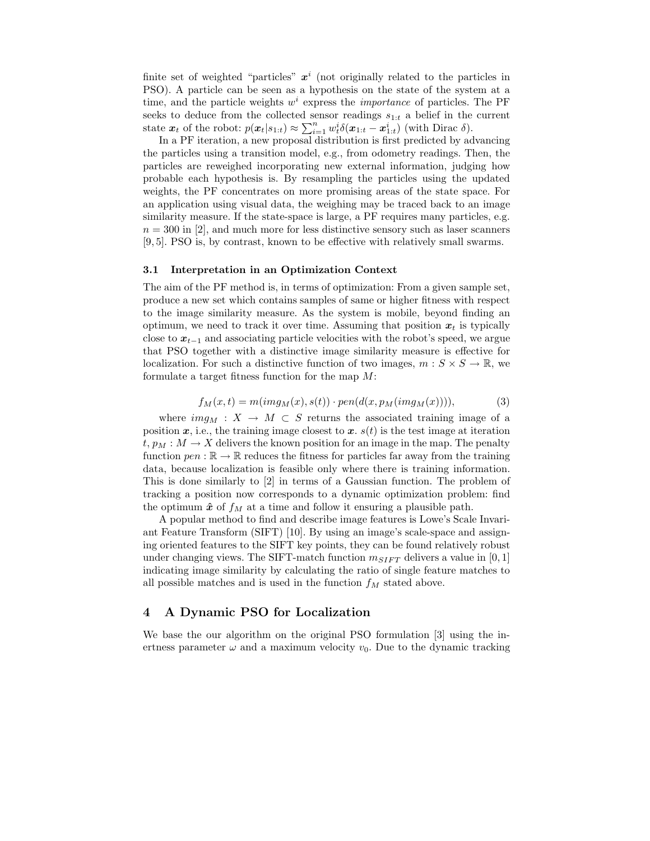finite set of weighted "particles"  $x^i$  (not originally related to the particles in PSO). A particle can be seen as a hypothesis on the state of the system at a time, and the particle weights  $w^i$  express the *importance* of particles. The PF seeks to deduce from the collected sensor readings  $s_{1:t}$  a belief in the current state  $\mathbf{x}_t$  of the robot:  $p(\mathbf{x}_t|s_{1:t}) \approx \sum_{i=1}^n w_t^i \delta(\mathbf{x}_{1:t} - \mathbf{x}_{1:t}^i)$  (with Dirac  $\delta$ ).

In a PF iteration, a new proposal distribution is first predicted by advancing the particles using a transition model, e.g., from odometry readings. Then, the particles are reweighed incorporating new external information, judging how probable each hypothesis is. By resampling the particles using the updated weights, the PF concentrates on more promising areas of the state space. For an application using visual data, the weighing may be traced back to an image similarity measure. If the state-space is large, a PF requires many particles, e.g.  $n = 300$  in [2], and much more for less distinctive sensory such as laser scanners [9, 5]. PSO is, by contrast, known to be effective with relatively small swarms.

#### 3.1 Interpretation in an Optimization Context

The aim of the PF method is, in terms of optimization: From a given sample set, produce a new set which contains samples of same or higher fitness with respect to the image similarity measure. As the system is mobile, beyond finding an optimum, we need to track it over time. Assuming that position  $x_t$  is typically close to  $x_{t-1}$  and associating particle velocities with the robot's speed, we argue that PSO together with a distinctive image similarity measure is effective for localization. For such a distinctive function of two images,  $m : S \times S \to \mathbb{R}$ , we formulate a target fitness function for the map M:

$$
f_M(x,t) = m(img_M(x), s(t)) \cdot pen(d(x, p_M(img_M(x))))
$$
\n
$$
(3)
$$

where  $img_M : X \to M \subset S$  returns the associated training image of a position  $x$ , i.e., the training image closest to  $x$ .  $s(t)$  is the test image at iteration  $t, p_M : M \to X$  delivers the known position for an image in the map. The penalty function pen :  $\mathbb{R} \to \mathbb{R}$  reduces the fitness for particles far away from the training data, because localization is feasible only where there is training information. This is done similarly to [2] in terms of a Gaussian function. The problem of tracking a position now corresponds to a dynamic optimization problem: find the optimum  $\hat{x}$  of  $f_M$  at a time and follow it ensuring a plausible path.

A popular method to find and describe image features is Lowe's Scale Invariant Feature Transform (SIFT) [10]. By using an image's scale-space and assigning oriented features to the SIFT key points, they can be found relatively robust under changing views. The SIFT-match function  $m_{SIFT}$  delivers a value in [0, 1] indicating image similarity by calculating the ratio of single feature matches to all possible matches and is used in the function  $f_M$  stated above.

## 4 A Dynamic PSO for Localization

We base the our algorithm on the original PSO formulation [3] using the inertness parameter  $\omega$  and a maximum velocity  $v_0$ . Due to the dynamic tracking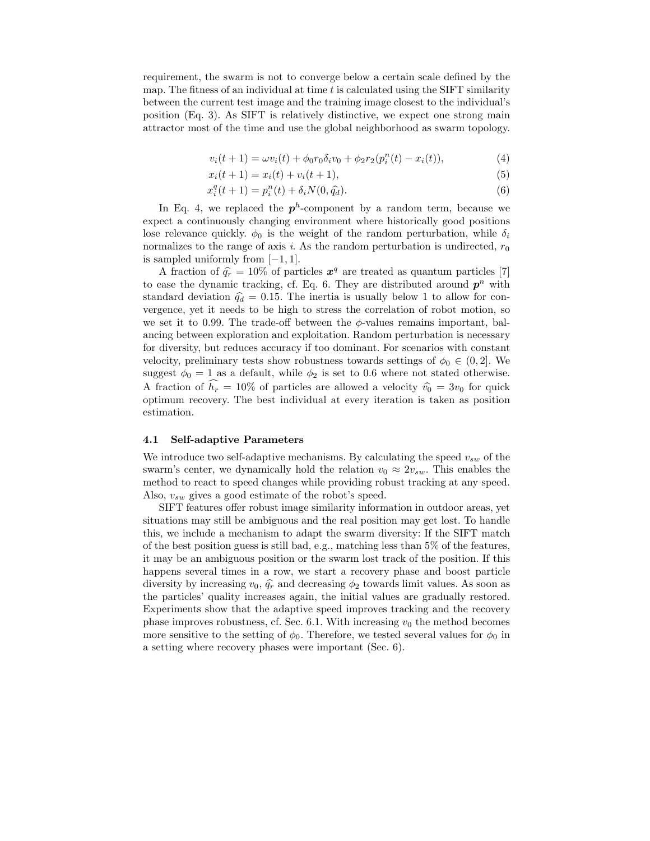requirement, the swarm is not to converge below a certain scale defined by the map. The fitness of an individual at time  $t$  is calculated using the SIFT similarity between the current test image and the training image closest to the individual's position (Eq. 3). As SIFT is relatively distinctive, we expect one strong main attractor most of the time and use the global neighborhood as swarm topology.

$$
v_i(t+1) = \omega v_i(t) + \phi_0 r_0 \delta_i v_0 + \phi_2 r_2(p_i^n(t) - x_i(t)),
$$
\n(4)

$$
x_i(t+1) = x_i(t) + v_i(t+1),
$$
\n(5)

$$
x_i^q(t+1) = p_i^n(t) + \delta_i N(0, \hat{q}_d).
$$
\n(6)

In Eq. 4, we replaced the  $p^h$ -component by a random term, because we expect a continuously changing environment where historically good positions lose relevance quickly.  $\phi_0$  is the weight of the random perturbation, while  $\delta_i$ normalizes to the range of axis i. As the random perturbation is undirected,  $r_0$ is sampled uniformly from  $[-1, 1]$ .

A fraction of  $\hat{q}_r = 10\%$  of particles  $x^q$  are treated as quantum particles [7] to ease the dynamic tracking, cf. Eq. 6. They are distributed around  $p^n$  with standard deviation  $\hat{q}_d = 0.15$ . The inertia is usually below 1 to allow for convergence, yet it needs to be high to stress the correlation of robot motion, so we set it to 0.99. The trade-off between the  $\phi$ -values remains important, balancing between exploration and exploitation. Random perturbation is necessary for diversity, but reduces accuracy if too dominant. For scenarios with constant velocity, preliminary tests show robustness towards settings of  $\phi_0 \in (0, 2]$ . We suggest  $\phi_0 = 1$  as a default, while  $\phi_2$  is set to 0.6 where not stated otherwise. A fraction of  $h_r = 10\%$  of particles are allowed a velocity  $\hat{v}_0 = 3v_0$  for quick optimum recovery. The best individual at every iteration is taken as position estimation.

#### 4.1 Self-adaptive Parameters

We introduce two self-adaptive mechanisms. By calculating the speed  $v_{sw}$  of the swarm's center, we dynamically hold the relation  $v_0 \approx 2v_{sw}$ . This enables the method to react to speed changes while providing robust tracking at any speed. Also,  $v_{sw}$  gives a good estimate of the robot's speed.

SIFT features offer robust image similarity information in outdoor areas, yet situations may still be ambiguous and the real position may get lost. To handle this, we include a mechanism to adapt the swarm diversity: If the SIFT match of the best position guess is still bad, e.g., matching less than 5% of the features, it may be an ambiguous position or the swarm lost track of the position. If this happens several times in a row, we start a recovery phase and boost particle diversity by increasing  $v_0$ ,  $\hat{q}_r$  and decreasing  $\phi_2$  towards limit values. As soon as the particles' quality increases again, the initial values are gradually restored. Experiments show that the adaptive speed improves tracking and the recovery phase improves robustness, cf. Sec. 6.1. With increasing  $v_0$  the method becomes more sensitive to the setting of  $\phi_0$ . Therefore, we tested several values for  $\phi_0$  in a setting where recovery phases were important (Sec. 6).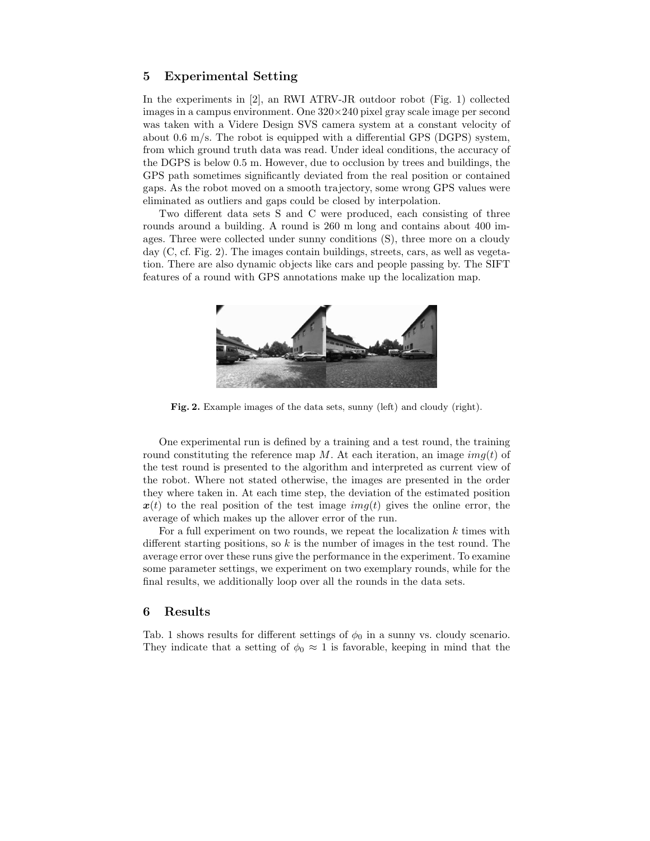### 5 Experimental Setting

In the experiments in [2], an RWI ATRV-JR outdoor robot (Fig. 1) collected images in a campus environment. One  $320 \times 240$  pixel gray scale image per second was taken with a Videre Design SVS camera system at a constant velocity of about 0.6 m/s. The robot is equipped with a differential GPS (DGPS) system, from which ground truth data was read. Under ideal conditions, the accuracy of the DGPS is below 0.5 m. However, due to occlusion by trees and buildings, the GPS path sometimes significantly deviated from the real position or contained gaps. As the robot moved on a smooth trajectory, some wrong GPS values were eliminated as outliers and gaps could be closed by interpolation.

Two different data sets S and C were produced, each consisting of three rounds around a building. A round is 260 m long and contains about 400 images. Three were collected under sunny conditions (S), three more on a cloudy day (C, cf. Fig. 2). The images contain buildings, streets, cars, as well as vegetation. There are also dynamic objects like cars and people passing by. The SIFT features of a round with GPS annotations make up the localization map.



Fig. 2. Example images of the data sets, sunny (left) and cloudy (right).

One experimental run is defined by a training and a test round, the training round constituting the reference map M. At each iteration, an image  $img(t)$  of the test round is presented to the algorithm and interpreted as current view of the robot. Where not stated otherwise, the images are presented in the order they where taken in. At each time step, the deviation of the estimated position  $x(t)$  to the real position of the test image  $img(t)$  gives the online error, the average of which makes up the allover error of the run.

For a full experiment on two rounds, we repeat the localization  $k$  times with different starting positions, so  $k$  is the number of images in the test round. The average error over these runs give the performance in the experiment. To examine some parameter settings, we experiment on two exemplary rounds, while for the final results, we additionally loop over all the rounds in the data sets.

#### 6 Results

Tab. 1 shows results for different settings of  $\phi_0$  in a sunny vs. cloudy scenario. They indicate that a setting of  $\phi_0 \approx 1$  is favorable, keeping in mind that the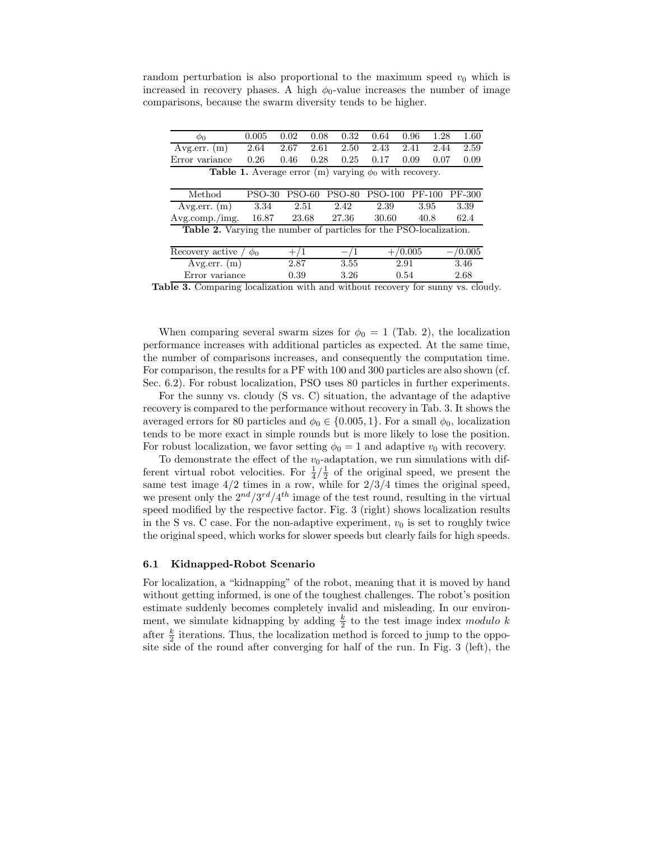random perturbation is also proportional to the maximum speed  $v_0$  which is increased in recovery phases. A high  $\phi_0$ -value increases the number of image comparisons, because the swarm diversity tends to be higher.

| $\phi_0$                                                                  | 0.005  | 0.02   | 0.08 | 0.32     | 0.64      | 0.96     | 1.28 | 1.60             |  |  |  |
|---------------------------------------------------------------------------|--------|--------|------|----------|-----------|----------|------|------------------|--|--|--|
| Avg.err. $(m)$                                                            | 2.64   | 2.67   | 2.61 | 2.50     | 2.43      | 2.41     | 2.44 | 2.59             |  |  |  |
| Error variance                                                            | 0.26   | 0.46   | 0.28 | 0.25     | 0.17      | 0.09     | 0.07 | 0.09             |  |  |  |
| <b>Table 1.</b> Average error (m) varying $\phi_0$ with recovery.         |        |        |      |          |           |          |      |                  |  |  |  |
|                                                                           |        |        |      |          |           |          |      |                  |  |  |  |
| Method                                                                    | PSO-30 | PSO-60 |      | $PSO-80$ | PSO-100   | $PF-100$ |      | PF-300           |  |  |  |
| Avg.err. $(m)$                                                            | 3.34   | 2.51   |      | 2.42     | 2.39      | 3.95     |      | 3.39             |  |  |  |
| Avg.comp./img.                                                            | 16.87  | 23.68  |      | 27.36    | 30.60     | 40.8     |      | 62.4             |  |  |  |
| <b>Table 2.</b> Varying the number of particles for the PSO-localization. |        |        |      |          |           |          |      |                  |  |  |  |
|                                                                           |        |        |      |          |           |          |      |                  |  |  |  |
| Recovery active<br>$\phi_0$                                               |        |        |      |          | $+/0.005$ |          |      | $^{\prime}0.005$ |  |  |  |
| Avg.err. $(m)$                                                            |        | 2.87   |      | 3.55     |           | 2.91     |      | 3.46             |  |  |  |
| Error variance                                                            |        | 0.39   |      | 3.26     | 0.54      |          |      | 2.68             |  |  |  |

Table 3. Comparing localization with and without recovery for sunny vs. cloudy.

When comparing several swarm sizes for  $\phi_0 = 1$  (Tab. 2), the localization performance increases with additional particles as expected. At the same time, the number of comparisons increases, and consequently the computation time. For comparison, the results for a PF with 100 and 300 particles are also shown (cf. Sec. 6.2). For robust localization, PSO uses 80 particles in further experiments.

For the sunny vs. cloudy (S vs. C) situation, the advantage of the adaptive recovery is compared to the performance without recovery in Tab. 3. It shows the averaged errors for 80 particles and  $\phi_0 \in \{0.005, 1\}$ . For a small  $\phi_0$ , localization tends to be more exact in simple rounds but is more likely to lose the position. For robust localization, we favor setting  $\phi_0 = 1$  and adaptive  $v_0$  with recovery.

To demonstrate the effect of the  $v_0$ -adaptation, we run simulations with different virtual robot velocities. For  $\frac{1}{4}$  / $\frac{1}{2}$  of the original speed, we present the same test image  $4/2$  times in a row, while for  $2/3/4$  times the original speed, we present only the  $2^{nd}/3^{rd}/4^{th}$  image of the test round, resulting in the virtual speed modified by the respective factor. Fig. 3 (right) shows localization results in the S vs. C case. For the non-adaptive experiment,  $v_0$  is set to roughly twice the original speed, which works for slower speeds but clearly fails for high speeds.

#### 6.1 Kidnapped-Robot Scenario

For localization, a "kidnapping" of the robot, meaning that it is moved by hand without getting informed, is one of the toughest challenges. The robot's position estimate suddenly becomes completely invalid and misleading. In our environment, we simulate kidnapping by adding  $\frac{k}{2}$  to the test image index modulo k after  $\frac{k}{2}$  iterations. Thus, the localization method is forced to jump to the opposite side of the round after converging for half of the run. In Fig. 3 (left), the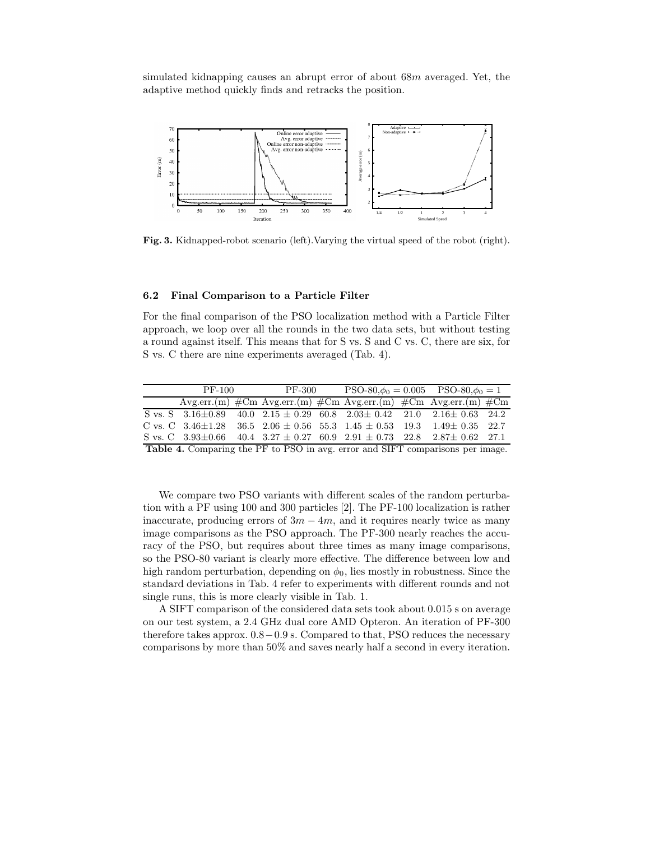simulated kidnapping causes an abrupt error of about  $68m$  averaged. Yet, the adaptive method quickly finds and retracks the position.



Fig. 3. Kidnapped-robot scenario (left).Varying the virtual speed of the robot (right).

#### 6.2 Final Comparison to a Particle Filter

For the final comparison of the PSO localization method with a Particle Filter approach, we loop over all the rounds in the two data sets, but without testing a round against itself. This means that for S vs. S and C vs. C, there are six, for S vs. C there are nine experiments averaged (Tab. 4).

| PF-100 |  | PF-300 |  |                                                                                             | $PSO-80, \phi_0 = 0.005$ $PSO-80, \phi_0 = 1$ |  |  |
|--------|--|--------|--|---------------------------------------------------------------------------------------------|-----------------------------------------------|--|--|
|        |  |        |  | $Avg.err.(m) \#Cm Ay.err.(m) \#Cm Ay.err.(m) \#Cm Ay.err.(m) \#Cm$                          |                                               |  |  |
|        |  |        |  | S vs. S $3.16\pm0.89$ 40.0 $2.15\pm0.29$ 60.8 $2.03\pm0.42$ 21.0 $2.16\pm0.63$ 24.2         |                                               |  |  |
|        |  |        |  | C vs. C $3.46\pm1.28$ $36.5$ $2.06\pm0.56$ $55.3$ $1.45\pm0.53$ $19.3$ $1.49\pm0.35$ $22.7$ |                                               |  |  |
|        |  |        |  | S vs. C $3.93\pm0.66$ 40.4 $3.27\pm0.27$ 60.9 $2.91\pm0.73$ 22.8 $2.87\pm0.62$ 27.1         |                                               |  |  |
|        |  |        |  | <b>Table 4.</b> Comparing the PF to PSO in avg. error and SIFT comparisons per image.       |                                               |  |  |

We compare two PSO variants with different scales of the random perturbation with a PF using 100 and 300 particles [2]. The PF-100 localization is rather inaccurate, producing errors of  $3m - 4m$ , and it requires nearly twice as many image comparisons as the PSO approach. The PF-300 nearly reaches the accuracy of the PSO, but requires about three times as many image comparisons,

so the PSO-80 variant is clearly more effective. The difference between low and high random perturbation, depending on  $\phi_0$ , lies mostly in robustness. Since the standard deviations in Tab. 4 refer to experiments with different rounds and not single runs, this is more clearly visible in Tab. 1.

A SIFT comparison of the considered data sets took about 0.015 s on average on our test system, a 2.4 GHz dual core AMD Opteron. An iteration of PF-300 therefore takes approx. 0.8−0.9 s. Compared to that, PSO reduces the necessary comparisons by more than 50% and saves nearly half a second in every iteration.